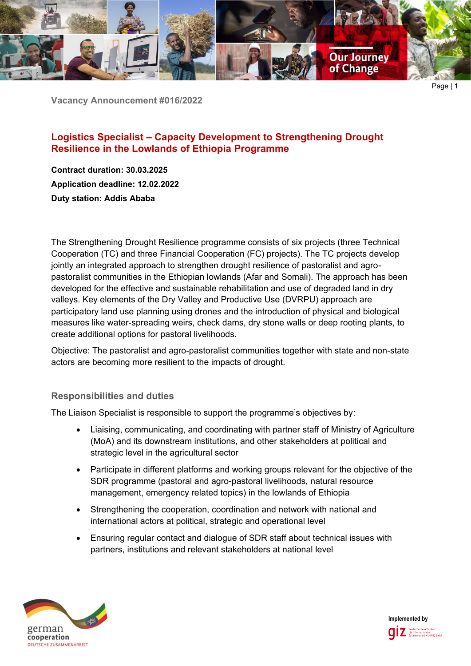

**Vacancy Announcement #016/2022**

# **Logistics Specialist – Capacity Development to Strengthening Drought Resilience in the Lowlands of Ethiopia Programme**

**Contract duration: 30.03.2025 Application deadline: 12.02.2022 Duty station: Addis Ababa**

The Strengthening Drought Resilience programme consists of six projects (three Technical Cooperation (TC) and three Financial Cooperation (FC) projects). The TC projects develop jointly an integrated approach to strengthen drought resilience of pastoralist and agropastoralist communities in the Ethiopian lowlands (Afar and Somali). The approach has been developed for the effective and sustainable rehabilitation and use of degraded land in dry valleys. Key elements of the Dry Valley and Productive Use (DVRPU) approach are participatory land use planning using drones and the introduction of physical and biological measures like water-spreading weirs, check dams, dry stone walls or deep rooting plants, to create additional options for pastoral livelihoods.

Objective: The pastoralist and agro-pastoralist communities together with state and non-state actors are becoming more resilient to the impacts of drought.

## **Responsibilities and duties**

The Liaison Specialist is responsible to support the programme's objectives by:

- Liaising, communicating, and coordinating with partner staff of Ministry of Agriculture (MoA) and its downstream institutions, and other stakeholders at political and strategic level in the agricultural sector
- Participate in different platforms and working groups relevant for the objective of the SDR programme (pastoral and agro-pastoral livelihoods, natural resource management, emergency related topics) in the lowlands of Ethiopia
- Strengthening the cooperation, coordination and network with national and international actors at political, strategic and operational level
- Ensuring regular contact and dialogue of SDR staff about technical issues with partners, institutions and relevant stakeholders at national level



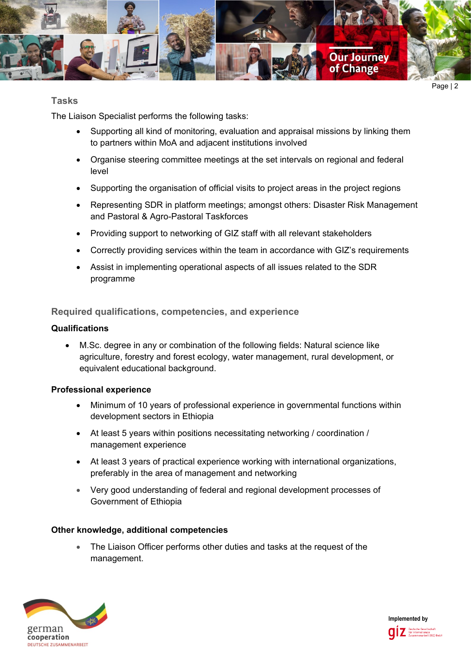

### **Tasks**

The Liaison Specialist performs the following tasks:

- Supporting all kind of monitoring, evaluation and appraisal missions by linking them to partners within MoA and adjacent institutions involved
- Organise steering committee meetings at the set intervals on regional and federal level
- Supporting the organisation of official visits to project areas in the project regions
- Representing SDR in platform meetings; amongst others: Disaster Risk Management and Pastoral & Agro-Pastoral Taskforces
- Providing support to networking of GIZ staff with all relevant stakeholders
- Correctly providing services within the team in accordance with GIZ's requirements
- Assist in implementing operational aspects of all issues related to the SDR programme

**Required qualifications, competencies, and experience**

#### **Qualifications**

• M.Sc. degree in any or combination of the following fields: Natural science like agriculture, forestry and forest ecology, water management, rural development, or equivalent educational background.

#### **Professional experience**

- Minimum of 10 years of professional experience in governmental functions within development sectors in Ethiopia
- At least 5 years within positions necessitating networking / coordination / management experience
- At least 3 years of practical experience working with international organizations, preferably in the area of management and networking
- Very good understanding of federal and regional development processes of Government of Ethiopia

#### **Other knowledge, additional competencies**

The Liaison Officer performs other duties and tasks at the request of the management.